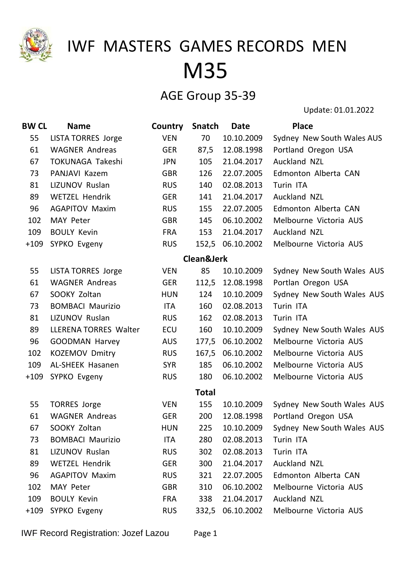

### AGE Group 35-39

| <b>BW CL</b> | <b>Name</b>                  | Country    | Snatch       | <b>Date</b>      | <b>Place</b>               |
|--------------|------------------------------|------------|--------------|------------------|----------------------------|
| 55           | <b>LISTA TORRES Jorge</b>    | <b>VEN</b> | 70           | 10.10.2009       | Sydney New South Wales AUS |
| 61           | <b>WAGNER Andreas</b>        | <b>GER</b> | 87,5         | 12.08.1998       | Portland Oregon USA        |
| 67           | TOKUNAGA Takeshi             | <b>JPN</b> | 105          | 21.04.2017       | Auckland NZL               |
| 73           | PANJAVI Kazem                | <b>GBR</b> | 126          | 22.07.2005       | Edmonton Alberta CAN       |
| 81           | LIZUNOV Ruslan               | <b>RUS</b> | 140          | 02.08.2013       | Turin ITA                  |
| 89           | <b>WETZEL Hendrik</b>        | <b>GER</b> | 141          | 21.04.2017       | Auckland NZL               |
| 96           | <b>AGAPITOV Maxim</b>        | <b>RUS</b> | 155          | 22.07.2005       | Edmonton Alberta CAN       |
| 102          | MAY Peter                    | <b>GBR</b> | 145          | 06.10.2002       | Melbourne Victoria AUS     |
| 109          | <b>BOULY Kevin</b>           | <b>FRA</b> | 153          | 21.04.2017       | Auckland NZL               |
| $+109$       | SYPKO Evgeny                 | <b>RUS</b> |              | 152,5 06.10.2002 | Melbourne Victoria AUS     |
|              |                              |            | Clean&Jerk   |                  |                            |
| 55           | <b>LISTA TORRES Jorge</b>    | <b>VEN</b> | 85           | 10.10.2009       | Sydney New South Wales AUS |
| 61           | <b>WAGNER Andreas</b>        | <b>GER</b> |              | 112,5 12.08.1998 | Portlan Oregon USA         |
| 67           | SOOKY Zoltan                 | <b>HUN</b> | 124          | 10.10.2009       | Sydney New South Wales AUS |
| 73           | <b>BOMBACI Maurizio</b>      | <b>ITA</b> | 160          | 02.08.2013       | Turin ITA                  |
| 81           | LIZUNOV Ruslan               | <b>RUS</b> | 162          | 02.08.2013       | Turin ITA                  |
| 89           | <b>LLERENA TORRES Walter</b> | ECU        | 160          | 10.10.2009       | Sydney New South Wales AUS |
| 96           | <b>GOODMAN Harvey</b>        | <b>AUS</b> | 177,5        | 06.10.2002       | Melbourne Victoria AUS     |
| 102          | <b>KOZEMOV Dmitry</b>        | <b>RUS</b> | 167,5        | 06.10.2002       | Melbourne Victoria AUS     |
| 109          | <b>AL-SHEEK Hasanen</b>      | <b>SYR</b> | 185          | 06.10.2002       | Melbourne Victoria AUS     |
| $+109$       | SYPKO Evgeny                 | <b>RUS</b> | 180          | 06.10.2002       | Melbourne Victoria AUS     |
|              |                              |            | <b>Total</b> |                  |                            |
| 55           | <b>TORRES Jorge</b>          | <b>VEN</b> | 155          | 10.10.2009       | Sydney New South Wales AUS |
| 61           | <b>WAGNER Andreas</b>        | <b>GER</b> | 200          | 12.08.1998       | Portland Oregon USA        |
| 67           | SOOKY Zoltan                 | <b>HUN</b> | 225          | 10.10.2009       | Sydney New South Wales AUS |
| 73           | <b>BOMBACI Maurizio</b>      | ITA        | 280          | 02.08.2013       | Turin ITA                  |
| 81           | LIZUNOV Ruslan               | <b>RUS</b> | 302          | 02.08.2013       | Turin ITA                  |
| 89           | <b>WETZEL Hendrik</b>        | <b>GER</b> | 300          | 21.04.2017       | Auckland NZL               |
| 96           | <b>AGAPITOV Maxim</b>        | <b>RUS</b> | 321          | 22.07.2005       | Edmonton Alberta CAN       |
| 102          | MAY Peter                    | <b>GBR</b> | 310          | 06.10.2002       | Melbourne Victoria AUS     |
| 109          | <b>BOULY Kevin</b>           | <b>FRA</b> | 338          | 21.04.2017       | Auckland NZL               |
| $+109$       | SYPKO Evgeny                 | <b>RUS</b> |              | 332,5 06.10.2002 | Melbourne Victoria AUS     |
|              |                              |            |              |                  |                            |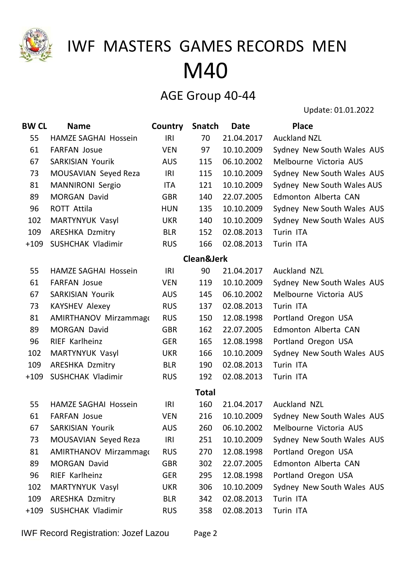

#### AGE Group 40-44

| <b>BW CL</b> | <b>Name</b>                  | Country    | <b>Snatch</b> | <b>Date</b> | <b>Place</b>               |
|--------------|------------------------------|------------|---------------|-------------|----------------------------|
| 55           | <b>HAMZE SAGHAI Hossein</b>  | IRI        | 70            | 21.04.2017  | <b>Auckland NZL</b>        |
| 61           | <b>FARFAN Josue</b>          | <b>VEN</b> | 97            | 10.10.2009  | Sydney New South Wales AUS |
| 67           | <b>SARKISIAN Yourik</b>      | <b>AUS</b> | 115           | 06.10.2002  | Melbourne Victoria AUS     |
| 73           | MOUSAVIAN Seyed Reza         | <b>IRI</b> | 115           | 10.10.2009  | Sydney New South Wales AUS |
| 81           | <b>MANNIRONI Sergio</b>      | ITA        | 121           | 10.10.2009  | Sydney New South Wales AUS |
| 89           | <b>MORGAN David</b>          | <b>GBR</b> | 140           | 22.07.2005  | Edmonton Alberta CAN       |
| 96           | <b>ROTT Attila</b>           | <b>HUN</b> | 135           | 10.10.2009  | Sydney New South Wales AUS |
| 102          | MARTYNYUK Vasyl              | <b>UKR</b> | 140           | 10.10.2009  | Sydney New South Wales AUS |
| 109          | <b>ARESHKA Dzmitry</b>       | <b>BLR</b> | 152           | 02.08.2013  | Turin ITA                  |
| $+109$       | <b>SUSHCHAK Vladimir</b>     | <b>RUS</b> | 166           | 02.08.2013  | Turin ITA                  |
|              |                              |            | Clean&Jerk    |             |                            |
| 55           | <b>HAMZE SAGHAI Hossein</b>  | IRI        | 90            | 21.04.2017  | <b>Auckland NZL</b>        |
| 61           | <b>FARFAN Josue</b>          | <b>VEN</b> | 119           | 10.10.2009  | Sydney New South Wales AUS |
| 67           | <b>SARKISIAN Yourik</b>      | <b>AUS</b> | 145           | 06.10.2002  | Melbourne Victoria AUS     |
| 73           | <b>KAYSHEV Alexey</b>        | <b>RUS</b> | 137           | 02.08.2013  | Turin ITA                  |
| 81           | <b>AMIRTHANOV Mirzammago</b> | <b>RUS</b> | 150           | 12.08.1998  | Portland Oregon USA        |
| 89           | <b>MORGAN David</b>          | <b>GBR</b> | 162           | 22.07.2005  | Edmonton Alberta CAN       |
| 96           | RIEF Karlheinz               | <b>GER</b> | 165           | 12.08.1998  | Portland Oregon USA        |
| 102          | MARTYNYUK Vasyl              | <b>UKR</b> | 166           | 10.10.2009  | Sydney New South Wales AUS |
| 109          | <b>ARESHKA Dzmitry</b>       | <b>BLR</b> | 190           | 02.08.2013  | Turin ITA                  |
| $+109$       | <b>SUSHCHAK Vladimir</b>     | <b>RUS</b> | 192           | 02.08.2013  | Turin ITA                  |
|              |                              |            | <b>Total</b>  |             |                            |
| 55           | <b>HAMZE SAGHAI Hossein</b>  | IRI        | 160           | 21.04.2017  | Auckland NZL               |
| 61           | <b>FARFAN Josue</b>          | <b>VEN</b> | 216           | 10.10.2009  | Sydney New South Wales AUS |
| 67           | SARKISIAN Yourik             | <b>AUS</b> | 260           | 06.10.2002  | Melbourne Victoria AUS     |
| 73           | MOUSAVIAN Seyed Reza         | IRI        | 251           | 10.10.2009  | Sydney New South Wales AUS |
| 81           | <b>AMIRTHANOV Mirzammago</b> | <b>RUS</b> | 270           | 12.08.1998  | Portland Oregon USA        |
| 89           | <b>MORGAN David</b>          | <b>GBR</b> | 302           | 22.07.2005  | Edmonton Alberta CAN       |
| 96           | RIEF Karlheinz               | <b>GER</b> | 295           | 12.08.1998  | Portland Oregon USA        |
| 102          | MARTYNYUK Vasyl              | <b>UKR</b> | 306           | 10.10.2009  | Sydney New South Wales AUS |
| 109          | <b>ARESHKA Dzmitry</b>       | <b>BLR</b> | 342           | 02.08.2013  | Turin ITA                  |
| $+109$       | SUSHCHAK Vladimir            | <b>RUS</b> | 358           | 02.08.2013  | Turin ITA                  |
|              |                              |            |               |             |                            |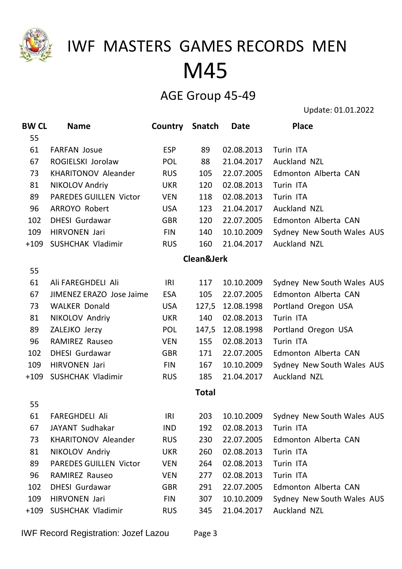

#### AGE Group 45-49

| <b>BW CL</b> | <b>Name</b>                   | Country    | <b>Snatch</b> | Date             | <b>Place</b>               |
|--------------|-------------------------------|------------|---------------|------------------|----------------------------|
| 55           |                               |            |               |                  |                            |
| 61           | <b>FARFAN Josue</b>           | <b>ESP</b> | 89            | 02.08.2013       | Turin ITA                  |
| 67           | ROGIELSKI Jorolaw             | <b>POL</b> | 88            | 21.04.2017       | Auckland NZL               |
| 73           | <b>KHARITONOV Aleander</b>    | <b>RUS</b> | 105           | 22.07.2005       | Edmonton Alberta CAN       |
| 81           | <b>NIKOLOV Andriy</b>         | <b>UKR</b> | 120           | 02.08.2013       | Turin ITA                  |
| 89           | <b>PAREDES GUILLEN Victor</b> | <b>VEN</b> | 118           | 02.08.2013       | Turin ITA                  |
| 96           | ARROYO Robert                 | <b>USA</b> | 123           | 21.04.2017       | Auckland NZL               |
| 102          | <b>DHESI</b> Gurdawar         | <b>GBR</b> | 120           | 22.07.2005       | Edmonton Alberta CAN       |
| 109          | HIRVONEN Jari                 | <b>FIN</b> | 140           | 10.10.2009       | Sydney New South Wales AUS |
| $+109$       | SUSHCHAK Vladimir             | <b>RUS</b> | 160           | 21.04.2017       | Auckland NZL               |
|              |                               |            | Clean&Jerk    |                  |                            |
| 55           |                               |            |               |                  |                            |
| 61           | Ali FAREGHDELI Ali            | IRI        | 117           | 10.10.2009       | Sydney New South Wales AUS |
| 67           | JIMENEZ ERAZO Jose Jaime      | <b>ESA</b> | 105           | 22.07.2005       | Edmonton Alberta CAN       |
| 73           | <b>WALKER Donald</b>          | <b>USA</b> |               | 127,5 12.08.1998 | Portland Oregon USA        |
| 81           | NIKOLOV Andriy                | <b>UKR</b> | 140           | 02.08.2013       | Turin ITA                  |
| 89           | ZALEJKO Jerzy                 | <b>POL</b> |               | 147,5 12.08.1998 | Portland Oregon USA        |
| 96           | <b>RAMIREZ Rauseo</b>         | <b>VEN</b> | 155           | 02.08.2013       | Turin ITA                  |
| 102          | <b>DHESI Gurdawar</b>         | <b>GBR</b> | 171           | 22.07.2005       | Edmonton Alberta CAN       |
| 109          | HIRVONEN Jari                 | <b>FIN</b> | 167           | 10.10.2009       | Sydney New South Wales AUS |
| $+109$       | SUSHCHAK Vladimir             | <b>RUS</b> | 185           | 21.04.2017       | Auckland NZL               |
|              |                               |            | <b>Total</b>  |                  |                            |
| 55           |                               |            |               |                  |                            |
| 61           | <b>FAREGHDELI Ali</b>         | IRI        | 203           | 10.10.2009       | Sydney New South Wales AUS |
| 67           | JAYANT Sudhakar               | <b>IND</b> | 192           | 02.08.2013       | Turin ITA                  |
| 73           | <b>KHARITONOV Aleander</b>    | <b>RUS</b> | 230           | 22.07.2005       | Edmonton Alberta CAN       |
| 81           | NIKOLOV Andriy                | <b>UKR</b> | 260           | 02.08.2013       | Turin ITA                  |
| 89           | <b>PAREDES GUILLEN Victor</b> | <b>VEN</b> | 264           | 02.08.2013       | Turin ITA                  |
| 96           | <b>RAMIREZ Rauseo</b>         | <b>VEN</b> | 277           | 02.08.2013       | Turin ITA                  |
| 102          | <b>DHESI</b> Gurdawar         | <b>GBR</b> | 291           | 22.07.2005       | Edmonton Alberta CAN       |
| 109          | HIRVONEN Jari                 | <b>FIN</b> | 307           | 10.10.2009       | Sydney New South Wales AUS |
| $+109$       | SUSHCHAK Vladimir             | <b>RUS</b> | 345           | 21.04.2017       | Auckland NZL               |
|              |                               |            |               |                  |                            |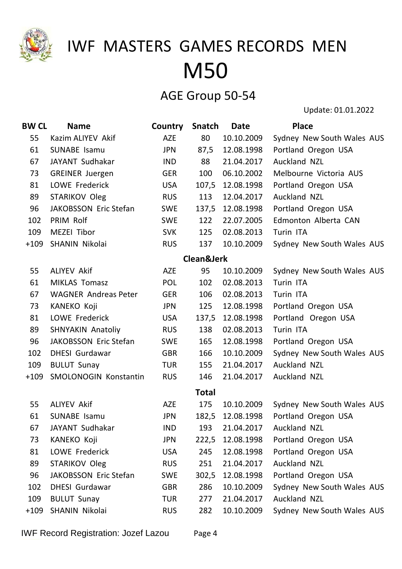

#### AGE Group 50-54

| <b>BW CL</b> | <b>Name</b>                 | Country    | <b>Snatch</b>         | <b>Date</b>      | <b>Place</b>               |
|--------------|-----------------------------|------------|-----------------------|------------------|----------------------------|
| 55           | Kazim ALIYEV Akif           | <b>AZE</b> | 80                    | 10.10.2009       | Sydney New South Wales AUS |
| 61           | <b>SUNABE Isamu</b>         | <b>JPN</b> | 87,5                  | 12.08.1998       | Portland Oregon USA        |
| 67           | JAYANT Sudhakar             | <b>IND</b> | 88                    | 21.04.2017       | Auckland NZL               |
| 73           | <b>GREINER Juergen</b>      | <b>GER</b> | 100                   | 06.10.2002       | Melbourne Victoria AUS     |
| 81           | LOWE Frederick              | <b>USA</b> | 107,5                 | 12.08.1998       | Portland Oregon USA        |
| 89           | <b>STARIKOV Oleg</b>        | <b>RUS</b> | 113                   | 12.04.2017       | Auckland NZL               |
| 96           | JAKOBSSON Eric Stefan       | <b>SWE</b> |                       | 137,5 12.08.1998 | Portland Oregon USA        |
| 102          | PRIM Rolf                   | <b>SWE</b> | 122                   | 22.07.2005       | Edmonton Alberta CAN       |
| 109          | MEZEI Tibor                 | <b>SVK</b> | 125                   | 02.08.2013       | Turin ITA                  |
| $+109$       | SHANIN Nikolai              | <b>RUS</b> | 137                   | 10.10.2009       | Sydney New South Wales AUS |
|              |                             |            | <b>Clean&amp;Jerk</b> |                  |                            |
| 55           | <b>ALIYEV Akif</b>          | <b>AZE</b> | 95                    | 10.10.2009       | Sydney New South Wales AUS |
| 61           | <b>MIKLAS Tomasz</b>        | <b>POL</b> | 102                   | 02.08.2013       | Turin ITA                  |
| 67           | <b>WAGNER Andreas Peter</b> | <b>GER</b> | 106                   | 02.08.2013       | Turin ITA                  |
| 73           | KANEKO Koji                 | JPN        | 125                   | 12.08.1998       | Portland Oregon USA        |
| 81           | LOWE Frederick              | <b>USA</b> | 137,5                 | 12.08.1998       | Portland Oregon USA        |
| 89           | <b>SHNYAKIN Anatoliy</b>    | <b>RUS</b> | 138                   | 02.08.2013       | Turin ITA                  |
| 96           | JAKOBSSON Eric Stefan       | <b>SWE</b> | 165                   | 12.08.1998       | Portland Oregon USA        |
| 102          | <b>DHESI Gurdawar</b>       | <b>GBR</b> | 166                   | 10.10.2009       | Sydney New South Wales AUS |
| 109          | <b>BULUT Sunay</b>          | <b>TUR</b> | 155                   | 21.04.2017       | Auckland NZL               |
| $+109$       | SMOLONOGIN Konstantin       | <b>RUS</b> | 146                   | 21.04.2017       | Auckland NZL               |
|              |                             |            | <b>Total</b>          |                  |                            |
| 55           | <b>ALIYEV Akif</b>          | <b>AZE</b> | 175                   | 10.10.2009       | Sydney New South Wales AUS |
| 61           | <b>SUNABE Isamu</b>         | <b>JPN</b> |                       | 182,5 12.08.1998 | Portland Oregon USA        |
| 67           | JAYANT Sudhakar             | <b>IND</b> | 193                   | 21.04.2017       | Auckland NZL               |
| 73           | <b>KANEKO Koji</b>          | <b>JPN</b> | 222,5                 | 12.08.1998       | Portland Oregon USA        |
| 81           | LOWE Frederick              | <b>USA</b> | 245                   | 12.08.1998       | Portland Oregon USA        |
| 89           | <b>STARIKOV Oleg</b>        | <b>RUS</b> | 251                   | 21.04.2017       | Auckland NZL               |
| 96           | JAKOBSSON Eric Stefan       | <b>SWE</b> | 302,5                 | 12.08.1998       | Portland Oregon USA        |
| 102          | <b>DHESI</b> Gurdawar       | <b>GBR</b> | 286                   | 10.10.2009       | Sydney New South Wales AUS |
| 109          | <b>BULUT Sunay</b>          | <b>TUR</b> | 277                   | 21.04.2017       | Auckland NZL               |
| $+109$       | SHANIN Nikolai              | <b>RUS</b> | 282                   | 10.10.2009       | Sydney New South Wales AUS |
|              |                             |            |                       |                  |                            |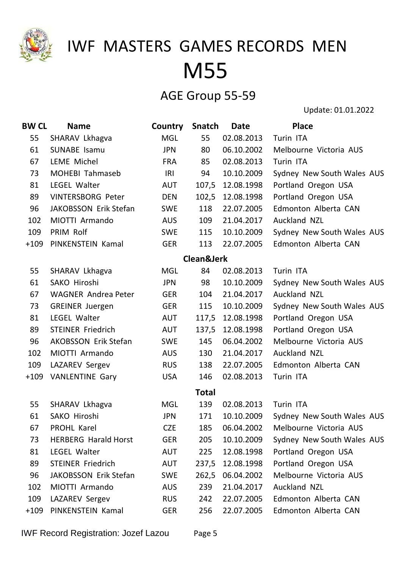

#### AGE Group 55-59

Update: 01.01.2022

| <b>BW CL</b> | <b>Name</b>                 | Country    | Snatch                | Date             | <b>Place</b>               |
|--------------|-----------------------------|------------|-----------------------|------------------|----------------------------|
| 55           | SHARAV Lkhagva              | <b>MGL</b> | 55                    | 02.08.2013       | Turin ITA                  |
| 61           | SUNABE Isamu                | <b>JPN</b> | 80                    | 06.10.2002       | Melbourne Victoria AUS     |
| 67           | <b>LEME Michel</b>          | <b>FRA</b> | 85                    | 02.08.2013       | Turin ITA                  |
| 73           | <b>MOHEBI Tahmaseb</b>      | IRI        | 94                    | 10.10.2009       | Sydney New South Wales AUS |
| 81           | LEGEL Walter                | <b>AUT</b> | 107,5                 | 12.08.1998       | Portland Oregon USA        |
| 89           | <b>VINTERSBORG Peter</b>    | <b>DEN</b> | 102,5                 | 12.08.1998       | Portland Oregon USA        |
| 96           | JAKOBSSON Erik Stefan       | <b>SWE</b> | 118                   | 22.07.2005       | Edmonton Alberta CAN       |
| 102          | MIOTTI Armando              | <b>AUS</b> | 109                   | 21.04.2017       | Auckland NZL               |
| 109          | PRIM Rolf                   | <b>SWE</b> | 115                   | 10.10.2009       | Sydney New South Wales AUS |
| $+109$       | PINKENSTEIN Kamal           | <b>GER</b> | 113                   | 22.07.2005       | Edmonton Alberta CAN       |
|              |                             |            | <b>Clean&amp;Jerk</b> |                  |                            |
| 55           | SHARAV Lkhagva              | <b>MGL</b> | 84                    | 02.08.2013       | Turin ITA                  |
| 61           | SAKO Hiroshi                | <b>JPN</b> | 98                    | 10.10.2009       | Sydney New South Wales AUS |
| 67           | <b>WAGNER Andrea Peter</b>  | <b>GER</b> | 104                   | 21.04.2017       | Auckland NZL               |
| 73           | <b>GREINER Juergen</b>      | <b>GER</b> | 115                   | 10.10.2009       | Sydney New South Wales AUS |
| 81           | LEGEL Walter                | <b>AUT</b> |                       | 117,5 12.08.1998 | Portland Oregon USA        |
| 89           | <b>STEINER Friedrich</b>    | <b>AUT</b> | 137,5                 | 12.08.1998       | Portland Oregon USA        |
| 96           | <b>AKOBSSON Erik Stefan</b> | <b>SWE</b> | 145                   | 06.04.2002       | Melbourne Victoria AUS     |
| 102          | MIOTTI Armando              | <b>AUS</b> | 130                   | 21.04.2017       | Auckland NZL               |
| 109          | LAZAREV Sergev              | <b>RUS</b> | 138                   | 22.07.2005       | Edmonton Alberta CAN       |
| $+109$       | <b>VANLENTINE Gary</b>      | <b>USA</b> | 146                   | 02.08.2013       | Turin ITA                  |
|              |                             |            | <b>Total</b>          |                  |                            |
| 55           | SHARAV Lkhagva              | <b>MGL</b> | 139                   | 02.08.2013       | Turin ITA                  |
| 61           | SAKO Hiroshi                | <b>JPN</b> | 171                   | 10.10.2009       | Sydney New South Wales AUS |
| 67           | PROHL Karel                 | <b>CZE</b> | 185                   | 06.04.2002       | Melbourne Victoria AUS     |
| 73           | <b>HERBERG Harald Horst</b> | <b>GER</b> | 205                   | 10.10.2009       | Sydney New South Wales AUS |
| 81           | LEGEL Walter                | AUT        | 225                   | 12.08.1998       | Portland Oregon USA        |
| 89           | <b>STEINER Friedrich</b>    | <b>AUT</b> | 237,5                 | 12.08.1998       | Portland Oregon USA        |
| 96           | JAKOBSSON Erik Stefan       | <b>SWE</b> | 262,5                 | 06.04.2002       | Melbourne Victoria AUS     |
| 102          | MIOTTI Armando              | <b>AUS</b> | 239                   | 21.04.2017       | <b>Auckland NZL</b>        |
| 109          | LAZAREV Sergev              | <b>RUS</b> | 242                   | 22.07.2005       | Edmonton Alberta CAN       |
| $+109$       | PINKENSTEIN Kamal           | <b>GER</b> | 256                   | 22.07.2005       | Edmonton Alberta CAN       |

IWF Record Registration: Jozef Lazou Page 5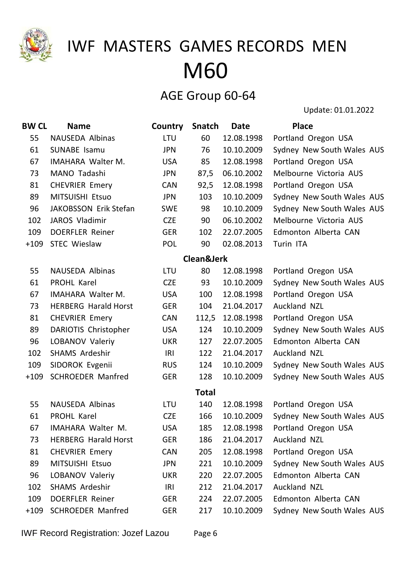

#### AGE Group 60-64

| <b>BW CL</b> | <b>Name</b>                 | Country    | <b>Snatch</b>         | <b>Date</b> | <b>Place</b>               |
|--------------|-----------------------------|------------|-----------------------|-------------|----------------------------|
| 55           | NAUSEDA Albinas             | LTU        | 60                    | 12.08.1998  | Portland Oregon USA        |
| 61           | <b>SUNABE Isamu</b>         | <b>JPN</b> | 76                    | 10.10.2009  | Sydney New South Wales AUS |
| 67           | <b>IMAHARA Walter M.</b>    | <b>USA</b> | 85                    | 12.08.1998  | Portland Oregon USA        |
| 73           | MANO Tadashi                | <b>JPN</b> | 87,5                  | 06.10.2002  | Melbourne Victoria AUS     |
| 81           | <b>CHEVRIER Emery</b>       | <b>CAN</b> | 92,5                  | 12.08.1998  | Portland Oregon USA        |
| 89           | MITSUISHI Etsuo             | <b>JPN</b> | 103                   | 10.10.2009  | Sydney New South Wales AUS |
| 96           | JAKOBSSON Erik Stefan       | <b>SWE</b> | 98                    | 10.10.2009  | Sydney New South Wales AUS |
| 102          | JAROS Vladimir              | <b>CZE</b> | 90                    | 06.10.2002  | Melbourne Victoria AUS     |
| 109          | <b>DOERFLER Reiner</b>      | <b>GER</b> | 102                   | 22.07.2005  | Edmonton Alberta CAN       |
| $+109$       | <b>STEC Wieslaw</b>         | <b>POL</b> | 90                    | 02.08.2013  | Turin ITA                  |
|              |                             |            | <b>Clean&amp;Jerk</b> |             |                            |
| 55           | <b>NAUSEDA Albinas</b>      | <b>LTU</b> | 80                    | 12.08.1998  | Portland Oregon USA        |
| 61           | <b>PROHL Karel</b>          | <b>CZE</b> | 93                    | 10.10.2009  | Sydney New South Wales AUS |
| 67           | <b>IMAHARA Walter M.</b>    | <b>USA</b> | 100                   | 12.08.1998  | Portland Oregon USA        |
| 73           | <b>HERBERG Harald Horst</b> | <b>GER</b> | 104                   | 21.04.2017  | Auckland NZL               |
| 81           | <b>CHEVRIER Emery</b>       | <b>CAN</b> | 112,5                 | 12.08.1998  | Portland Oregon USA        |
| 89           | DARIOTIS Christopher        | <b>USA</b> | 124                   | 10.10.2009  | Sydney New South Wales AUS |
| 96           | LOBANOV Valeriy             | <b>UKR</b> | 127                   | 22.07.2005  | Edmonton Alberta CAN       |
| 102          | <b>SHAMS Ardeshir</b>       | IRI        | 122                   | 21.04.2017  | Auckland NZL               |
| 109          | SIDOROK Evgenii             | <b>RUS</b> | 124                   | 10.10.2009  | Sydney New South Wales AUS |
| $+109$       | <b>SCHROEDER Manfred</b>    | <b>GER</b> | 128                   | 10.10.2009  | Sydney New South Wales AUS |
|              |                             |            | <b>Total</b>          |             |                            |
| 55           | <b>NAUSEDA Albinas</b>      | <b>LTU</b> | 140                   | 12.08.1998  | Portland Oregon USA        |
| 61           | PROHL Karel                 | <b>CZE</b> | 166                   | 10.10.2009  | Sydney New South Wales AUS |
| 67           | IMAHARA Walter M.           | <b>USA</b> | 185                   | 12.08.1998  | Portland Oregon USA        |
| 73           | <b>HERBERG Harald Horst</b> | <b>GER</b> | 186                   | 21.04.2017  | Auckland NZL               |
| 81           | <b>CHEVRIER Emery</b>       | <b>CAN</b> | 205                   | 12.08.1998  | Portland Oregon USA        |
| 89           | MITSUISHI Etsuo             | <b>JPN</b> | 221                   | 10.10.2009  | Sydney New South Wales AUS |
| 96           | LOBANOV Valeriy             | <b>UKR</b> | 220                   | 22.07.2005  | Edmonton Alberta CAN       |
| 102          | <b>SHAMS Ardeshir</b>       | <b>IRI</b> | 212                   | 21.04.2017  | <b>Auckland NZL</b>        |
| 109          | <b>DOERFLER Reiner</b>      | <b>GER</b> | 224                   | 22.07.2005  | Edmonton Alberta CAN       |
| +109         | <b>SCHROEDER Manfred</b>    | <b>GER</b> | 217                   | 10.10.2009  | Sydney New South Wales AUS |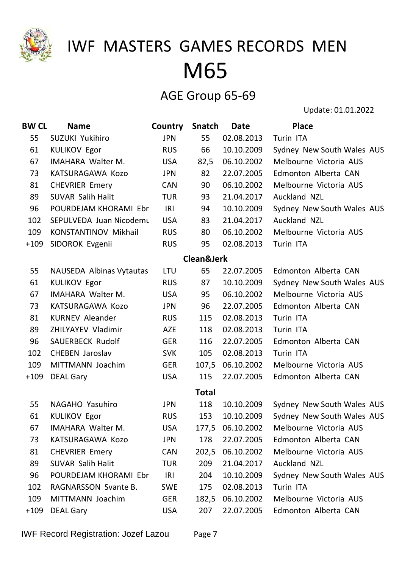

#### AGE Group 65-69

| <b>BW CL</b> | <b>Name</b>                     | Country    | Snatch                | <b>Date</b>      | <b>Place</b>               |
|--------------|---------------------------------|------------|-----------------------|------------------|----------------------------|
| 55           | <b>SUZUKI Yukihiro</b>          | <b>JPN</b> | 55                    | 02.08.2013       | Turin ITA                  |
| 61           | <b>KULIKOV Egor</b>             | <b>RUS</b> | 66                    | 10.10.2009       | Sydney New South Wales AUS |
| 67           | <b>IMAHARA Walter M.</b>        | <b>USA</b> | 82,5                  | 06.10.2002       | Melbourne Victoria AUS     |
| 73           | KATSURAGAWA Kozo                | <b>JPN</b> | 82                    | 22.07.2005       | Edmonton Alberta CAN       |
| 81           | <b>CHEVRIER Emery</b>           | <b>CAN</b> | 90                    | 06.10.2002       | Melbourne Victoria AUS     |
| 89           | <b>SUVAR Salih Halit</b>        | <b>TUR</b> | 93                    | 21.04.2017       | Auckland NZL               |
| 96           | POURDEJAM KHORAMI Ebr           | IRI        | 94                    | 10.10.2009       | Sydney New South Wales AUS |
| 102          | SEPULVEDA Juan Nicodemu         | <b>USA</b> | 83                    | 21.04.2017       | <b>Auckland NZL</b>        |
| 109          | <b>KONSTANTINOV Mikhail</b>     | <b>RUS</b> | 80                    | 06.10.2002       | Melbourne Victoria AUS     |
| $+109$       | SIDOROK Evgenii                 | <b>RUS</b> | 95                    | 02.08.2013       | Turin ITA                  |
|              |                                 |            | <b>Clean&amp;Jerk</b> |                  |                            |
| 55           | <b>NAUSEDA Albinas Vytautas</b> | LTU        | 65                    | 22.07.2005       | Edmonton Alberta CAN       |
| 61           | <b>KULIKOV Egor</b>             | <b>RUS</b> | 87                    | 10.10.2009       | Sydney New South Wales AUS |
| 67           | <b>IMAHARA Walter M.</b>        | <b>USA</b> | 95                    | 06.10.2002       | Melbourne Victoria AUS     |
| 73           | KATSURAGAWA Kozo                | <b>JPN</b> | 96                    | 22.07.2005       | Edmonton Alberta CAN       |
| 81           | <b>KURNEV Aleander</b>          | <b>RUS</b> | 115                   | 02.08.2013       | Turin ITA                  |
| 89           | ZHILYAYEV Vladimir              | <b>AZE</b> | 118                   | 02.08.2013       | Turin ITA                  |
| 96           | <b>SAUERBECK Rudolf</b>         | <b>GER</b> | 116                   | 22.07.2005       | Edmonton Alberta CAN       |
| 102          | <b>CHEBEN Jaroslav</b>          | <b>SVK</b> | 105                   | 02.08.2013       | Turin ITA                  |
| 109          | MITTMANN Joachim                | <b>GER</b> | 107,5                 | 06.10.2002       | Melbourne Victoria AUS     |
| $+109$       | <b>DEAL Gary</b>                | <b>USA</b> | 115                   | 22.07.2005       | Edmonton Alberta CAN       |
|              |                                 |            | <b>Total</b>          |                  |                            |
| 55           | NAGAHO Yasuhiro                 | <b>JPN</b> | 118                   | 10.10.2009       | Sydney New South Wales AUS |
| 61           | <b>KULIKOV Egor</b>             | <b>RUS</b> | 153                   | 10.10.2009       | Sydney New South Wales AUS |
| 67           | IMAHARA Walter M.               | <b>USA</b> | 177,5                 | 06.10.2002       | Melbourne Victoria AUS     |
| 73           | KATSURAGAWA Kozo                | <b>JPN</b> | 178                   | 22.07.2005       | Edmonton Alberta CAN       |
| 81           | <b>CHEVRIER Emery</b>           | <b>CAN</b> | 202,5                 | 06.10.2002       | Melbourne Victoria AUS     |
| 89           | <b>SUVAR Salih Halit</b>        | <b>TUR</b> | 209                   | 21.04.2017       | Auckland NZL               |
| 96           | POURDEJAM KHORAMI Ebr           | IRI        | 204                   | 10.10.2009       | Sydney New South Wales AUS |
| 102          | RAGNARSSON Svante B.            | <b>SWE</b> | 175                   | 02.08.2013       | Turin ITA                  |
| 109          | MITTMANN Joachim                | <b>GER</b> |                       | 182,5 06.10.2002 | Melbourne Victoria AUS     |
| $+109$       | <b>DEAL Gary</b>                | <b>USA</b> | 207                   | 22.07.2005       | Edmonton Alberta CAN       |
|              |                                 |            |                       |                  |                            |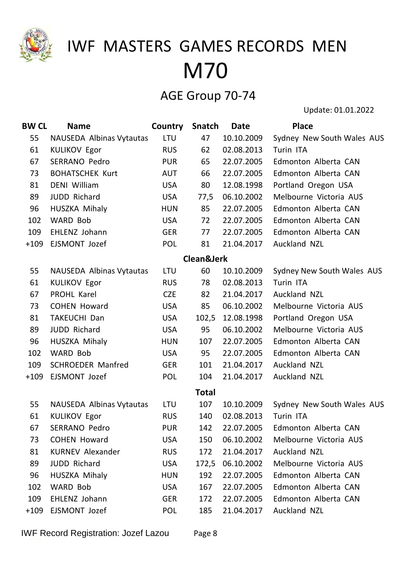

### AGE Group 70-74

| <b>BW CL</b> | <b>Name</b>              | Country    | <b>Snatch</b>         | <b>Date</b> | <b>Place</b>               |
|--------------|--------------------------|------------|-----------------------|-------------|----------------------------|
| 55           | NAUSEDA Albinas Vytautas | <b>LTU</b> | 47                    | 10.10.2009  | Sydney New South Wales AUS |
| 61           | <b>KULIKOV Egor</b>      | <b>RUS</b> | 62                    | 02.08.2013  | Turin ITA                  |
| 67           | <b>SERRANO Pedro</b>     | <b>PUR</b> | 65                    | 22.07.2005  | Edmonton Alberta CAN       |
| 73           | <b>BOHATSCHEK Kurt</b>   | <b>AUT</b> | 66                    | 22.07.2005  | Edmonton Alberta CAN       |
| 81           | <b>DENI William</b>      | <b>USA</b> | 80                    | 12.08.1998  | Portland Oregon USA        |
| 89           | <b>JUDD Richard</b>      | <b>USA</b> | 77,5                  | 06.10.2002  | Melbourne Victoria AUS     |
| 96           | HUSZKA Mihaly            | <b>HUN</b> | 85                    | 22.07.2005  | Edmonton Alberta CAN       |
| 102          | WARD Bob                 | <b>USA</b> | 72                    | 22.07.2005  | Edmonton Alberta CAN       |
| 109          | EHLENZ Johann            | <b>GER</b> | 77                    | 22.07.2005  | Edmonton Alberta CAN       |
| $+109$       | EJSMONT Jozef            | <b>POL</b> | 81                    | 21.04.2017  | Auckland NZL               |
|              |                          |            | <b>Clean&amp;Jerk</b> |             |                            |
| 55           | NAUSEDA Albinas Vytautas | <b>LTU</b> | 60                    | 10.10.2009  | Sydney New South Wales AUS |
| 61           | <b>KULIKOV Egor</b>      | <b>RUS</b> | 78                    | 02.08.2013  | Turin ITA                  |
| 67           | PROHL Karel              | <b>CZE</b> | 82                    | 21.04.2017  | Auckland NZL               |
| 73           | <b>COHEN Howard</b>      | <b>USA</b> | 85                    | 06.10.2002  | Melbourne Victoria AUS     |
| 81           | <b>TAKEUCHI Dan</b>      | <b>USA</b> | 102,5                 | 12.08.1998  | Portland Oregon USA        |
| 89           | <b>JUDD Richard</b>      | <b>USA</b> | 95                    | 06.10.2002  | Melbourne Victoria AUS     |
| 96           | HUSZKA Mihaly            | <b>HUN</b> | 107                   | 22.07.2005  | Edmonton Alberta CAN       |
| 102          | WARD Bob                 | <b>USA</b> | 95                    | 22.07.2005  | Edmonton Alberta CAN       |
| 109          | <b>SCHROEDER Manfred</b> | <b>GER</b> | 101                   | 21.04.2017  | Auckland NZL               |
| $+109$       | EJSMONT Jozef            | <b>POL</b> | 104                   | 21.04.2017  | Auckland NZL               |
|              |                          |            | <b>Total</b>          |             |                            |
| 55           | NAUSEDA Albinas Vytautas | <b>LTU</b> | 107                   | 10.10.2009  | Sydney New South Wales AUS |
| 61           | <b>KULIKOV Egor</b>      | <b>RUS</b> | 140                   | 02.08.2013  | Turin ITA                  |
| 67           | <b>SERRANO Pedro</b>     | <b>PUR</b> | 142                   | 22.07.2005  | Edmonton Alberta CAN       |
| 73           | <b>COHEN Howard</b>      | <b>USA</b> | 150                   | 06.10.2002  | Melbourne Victoria AUS     |
| 81           | <b>KURNEV Alexander</b>  | <b>RUS</b> | 172                   | 21.04.2017  | Auckland NZL               |
| 89           | <b>JUDD Richard</b>      | <b>USA</b> | 172,5                 | 06.10.2002  | Melbourne Victoria AUS     |
| 96           | HUSZKA Mihaly            | <b>HUN</b> | 192                   | 22.07.2005  | Edmonton Alberta CAN       |
| 102          | WARD Bob                 | <b>USA</b> | 167                   | 22.07.2005  | Edmonton Alberta CAN       |
| 109          | EHLENZ Johann            | <b>GER</b> | 172                   | 22.07.2005  | Edmonton Alberta CAN       |
| $+109$       | EJSMONT Jozef            | <b>POL</b> | 185                   | 21.04.2017  | Auckland NZL               |
|              |                          |            |                       |             |                            |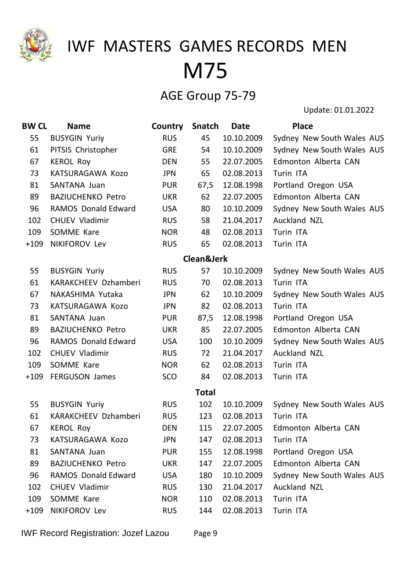

### AGE Group 75-79

| <b>BW CL</b> | <b>Name</b>                | Country    | Snatch       | <b>Date</b> | <b>Place</b>               |
|--------------|----------------------------|------------|--------------|-------------|----------------------------|
| 55           | <b>BUSYGIN Yuriy</b>       | <b>RUS</b> | 45           | 10.10.2009  | Sydney New South Wales AUS |
| 61           | PITSIS Christopher         | <b>GRE</b> | 54           | 10.10.2009  | Sydney New South Wales AUS |
| 67           | <b>KEROL Roy</b>           | <b>DEN</b> | 55           | 22.07.2005  | Edmonton Alberta CAN       |
| 73           | KATSURAGAWA Kozo           | <b>JPN</b> | 65           | 02.08.2013  | Turin ITA                  |
| 81           | SANTANA Juan               | <b>PUR</b> | 67,5         | 12.08.1998  | Portland Oregon USA        |
| 89           | <b>BAZIUCHENKO Petro</b>   | <b>UKR</b> | 62           | 22.07.2005  | Edmonton Alberta CAN       |
| 96           | <b>RAMOS Donald Edward</b> | <b>USA</b> | 80           | 10.10.2009  | Sydney New South Wales AUS |
| 102          | <b>CHUEV Vladimir</b>      | <b>RUS</b> | 58           | 21.04.2017  | <b>Auckland NZL</b>        |
| 109          | SOMME Kare                 | <b>NOR</b> | 48           | 02.08.2013  | Turin ITA                  |
| $+109$       | NIKIFOROV Lev              | <b>RUS</b> | 65           | 02.08.2013  | Turin ITA                  |
|              |                            |            | Clean&Jerk   |             |                            |
| 55           | <b>BUSYGIN Yuriy</b>       | <b>RUS</b> | 57           | 10.10.2009  | Sydney New South Wales AUS |
| 61           | KARAKCHEEV Dzhamberi       | <b>RUS</b> | 70           | 02.08.2013  | Turin ITA                  |
| 67           | NAKASHIMA Yutaka           | <b>JPN</b> | 62           | 10.10.2009  | Sydney New South Wales AUS |
| 73           | KATSURAGAWA Kozo           | <b>JPN</b> | 82           | 02.08.2013  | Turin ITA                  |
| 81           | SANTANA Juan               | <b>PUR</b> | 87,5         | 12.08.1998  | Portland Oregon USA        |
| 89           | <b>BAZIUCHENKO Petro</b>   | <b>UKR</b> | 85           | 22.07.2005  | Edmonton Alberta CAN       |
| 96           | <b>RAMOS Donald Edward</b> | <b>USA</b> | 100          | 10.10.2009  | Sydney New South Wales AUS |
| 102          | <b>CHUEV Vladimir</b>      | <b>RUS</b> | 72           | 21.04.2017  | Auckland NZL               |
| 109          | SOMME Kare                 | <b>NOR</b> | 62           | 02.08.2013  | Turin ITA                  |
| $+109$       | <b>FERGUSON James</b>      | SCO        | 84           | 02.08.2013  | Turin ITA                  |
|              |                            |            | <b>Total</b> |             |                            |
| 55           | <b>BUSYGIN Yuriy</b>       | <b>RUS</b> | 102          | 10.10.2009  | Sydney New South Wales AUS |
| 61           | KARAKCHEEV Dzhamberi       | <b>RUS</b> | 123          | 02.08.2013  | Turin ITA                  |
| 67           | <b>KEROL Roy</b>           | <b>DEN</b> | 115          | 22.07.2005  | Edmonton Alberta CAN       |
| 73           | KATSURAGAWA Kozo           | <b>JPN</b> | 147          | 02.08.2013  | Turin ITA                  |
| 81           | SANTANA Juan               | <b>PUR</b> | 155          | 12.08.1998  | Portland Oregon USA        |
| 89           | <b>BAZIUCHENKO Petro</b>   | <b>UKR</b> | 147          | 22.07.2005  | Edmonton Alberta CAN       |
| 96           | <b>RAMOS Donald Edward</b> | <b>USA</b> | 180          | 10.10.2009  | Sydney New South Wales AUS |
| 102          | <b>CHUEV Vladimir</b>      | <b>RUS</b> | 130          | 21.04.2017  | Auckland NZL               |
| 109          | SOMME Kare                 | <b>NOR</b> | 110          | 02.08.2013  | Turin ITA                  |
| $+109$       | NIKIFOROV Lev              | <b>RUS</b> | 144          | 02.08.2013  | Turin ITA                  |
|              |                            |            |              |             |                            |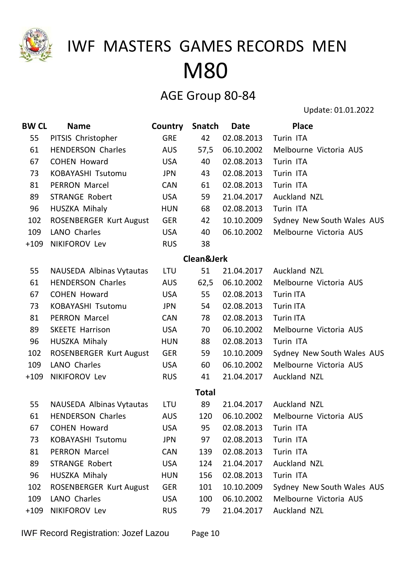

#### AGE Group 80-84

| <b>BW CL</b> | <b>Name</b>                     | Country    | Snatch                | Date       | <b>Place</b>               |
|--------------|---------------------------------|------------|-----------------------|------------|----------------------------|
| 55           | PITSIS Christopher              | <b>GRE</b> | 42                    | 02.08.2013 | Turin ITA                  |
| 61           | <b>HENDERSON Charles</b>        | <b>AUS</b> | 57,5                  | 06.10.2002 | Melbourne Victoria AUS     |
| 67           | <b>COHEN Howard</b>             | <b>USA</b> | 40                    | 02.08.2013 | Turin ITA                  |
| 73           | <b>KOBAYASHI Tsutomu</b>        | <b>JPN</b> | 43                    | 02.08.2013 | Turin ITA                  |
| 81           | <b>PERRON Marcel</b>            | <b>CAN</b> | 61                    | 02.08.2013 | Turin ITA                  |
| 89           | <b>STRANGE Robert</b>           | <b>USA</b> | 59                    | 21.04.2017 | Auckland NZL               |
| 96           | HUSZKA Mihaly                   | <b>HUN</b> | 68                    | 02.08.2013 | Turin ITA                  |
| 102          | <b>ROSENBERGER Kurt August</b>  | <b>GER</b> | 42                    | 10.10.2009 | Sydney New South Wales AUS |
| 109          | LANO Charles                    | <b>USA</b> | 40                    | 06.10.2002 | Melbourne Victoria AUS     |
| $+109$       | NIKIFOROV Lev                   | <b>RUS</b> | 38                    |            |                            |
|              |                                 |            | <b>Clean&amp;Jerk</b> |            |                            |
| 55           | <b>NAUSEDA Albinas Vytautas</b> | <b>LTU</b> | 51                    | 21.04.2017 | <b>Auckland NZL</b>        |
| 61           | <b>HENDERSON Charles</b>        | <b>AUS</b> | 62,5                  | 06.10.2002 | Melbourne Victoria AUS     |
| 67           | <b>COHEN Howard</b>             | <b>USA</b> | 55                    | 02.08.2013 | <b>Turin ITA</b>           |
| 73           | KOBAYASHI Tsutomu               | <b>JPN</b> | 54                    | 02.08.2013 | <b>Turin ITA</b>           |
| 81           | <b>PERRON Marcel</b>            | <b>CAN</b> | 78                    | 02.08.2013 | <b>Turin ITA</b>           |
| 89           | <b>SKEETE Harrison</b>          | <b>USA</b> | 70                    | 06.10.2002 | Melbourne Victoria AUS     |
| 96           | HUSZKA Mihaly                   | <b>HUN</b> | 88                    | 02.08.2013 | Turin ITA                  |
| 102          | <b>ROSENBERGER Kurt August</b>  | <b>GER</b> | 59                    | 10.10.2009 | Sydney New South Wales AUS |
| 109          | <b>LANO Charles</b>             | <b>USA</b> | 60                    | 06.10.2002 | Melbourne Victoria AUS     |
| $+109$       | NIKIFOROV Lev                   | <b>RUS</b> | 41                    | 21.04.2017 | Auckland NZL               |
|              |                                 |            | <b>Total</b>          |            |                            |
| 55           | <b>NAUSEDA Albinas Vytautas</b> | <b>LTU</b> | 89                    | 21.04.2017 | Auckland NZL               |
| 61           | <b>HENDERSON Charles</b>        | <b>AUS</b> | 120                   | 06.10.2002 | Melbourne Victoria AUS     |
| 67           | <b>COHEN Howard</b>             | <b>USA</b> | 95                    | 02.08.2013 | Turin ITA                  |
| 73           | KOBAYASHI Tsutomu               | <b>JPN</b> | 97                    | 02.08.2013 | Turin ITA                  |
| 81           | <b>PERRON Marcel</b>            | <b>CAN</b> | 139                   | 02.08.2013 | Turin ITA                  |
| 89           | <b>STRANGE Robert</b>           | <b>USA</b> | 124                   | 21.04.2017 | Auckland NZL               |
| 96           | HUSZKA Mihaly                   | <b>HUN</b> | 156                   | 02.08.2013 | Turin ITA                  |
| 102          | <b>ROSENBERGER Kurt August</b>  | <b>GER</b> | 101                   | 10.10.2009 | Sydney New South Wales AUS |
| 109          | <b>LANO Charles</b>             | <b>USA</b> | 100                   | 06.10.2002 | Melbourne Victoria AUS     |
| $+109$       | NIKIFOROV Lev                   | <b>RUS</b> | 79                    | 21.04.2017 | Auckland NZL               |